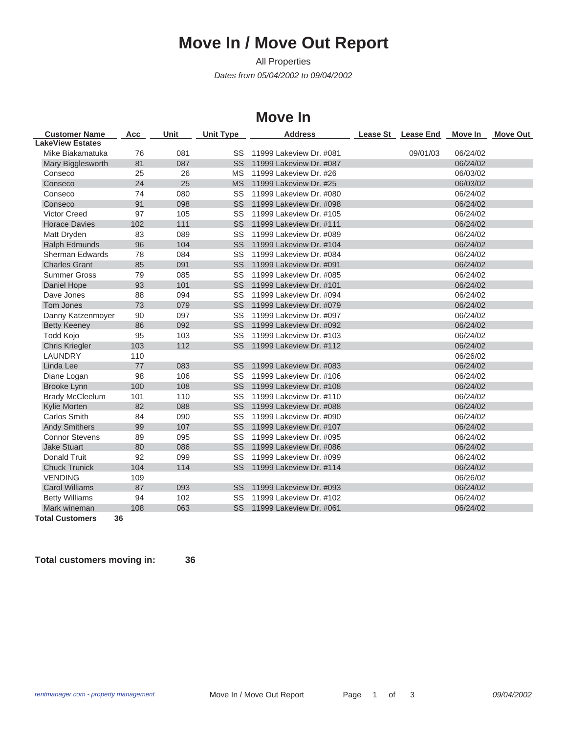## **Move In / Move Out Report**

*Dates from 05/04/2002 to 09/04/2002* All Properties

## **Move In**

| <b>Customer Name</b>    | Acc | Unit | <b>Unit Type</b> | <b>Address</b>             | Lease St Lease End | Move In  | <b>Move Out</b> |
|-------------------------|-----|------|------------------|----------------------------|--------------------|----------|-----------------|
| <b>LakeView Estates</b> |     |      |                  |                            |                    |          |                 |
| Mike Biakamatuka        | 76  | 081  | SS               | 11999 Lakeview Dr. #081    | 09/01/03           | 06/24/02 |                 |
| Mary Bigglesworth       | 81  | 087  | <b>SS</b>        | 11999 Lakeview Dr. #087    |                    | 06/24/02 |                 |
| Conseco                 | 25  | 26   | <b>MS</b>        | 11999 Lakeview Dr. #26     |                    | 06/03/02 |                 |
| Conseco                 | 24  | 25   | <b>MS</b>        | 11999 Lakeview Dr. #25     |                    | 06/03/02 |                 |
| Conseco                 | 74  | 080  | SS               | 11999 Lakeview Dr. #080    |                    | 06/24/02 |                 |
| Conseco                 | 91  | 098  | <b>SS</b>        | 11999 Lakeview Dr. #098    |                    | 06/24/02 |                 |
| <b>Victor Creed</b>     | 97  | 105  | SS               | 11999 Lakeview Dr. #105    |                    | 06/24/02 |                 |
| <b>Horace Davies</b>    | 102 | 111  | <b>SS</b>        | 11999 Lakeview Dr. #111    |                    | 06/24/02 |                 |
| Matt Dryden             | 83  | 089  | SS               | 11999 Lakeview Dr. #089    |                    | 06/24/02 |                 |
| <b>Ralph Edmunds</b>    | 96  | 104  | <b>SS</b>        | 11999 Lakeview Dr. #104    |                    | 06/24/02 |                 |
| <b>Sherman Edwards</b>  | 78  | 084  | SS               | 11999 Lakeview Dr. #084    |                    | 06/24/02 |                 |
| <b>Charles Grant</b>    | 85  | 091  | <b>SS</b>        | 11999 Lakeview Dr. #091    |                    | 06/24/02 |                 |
| <b>Summer Gross</b>     | 79  | 085  | SS               | 11999 Lakeview Dr. #085    |                    | 06/24/02 |                 |
| Daniel Hope             | 93  | 101  | <b>SS</b>        | 11999 Lakeview Dr. #101    |                    | 06/24/02 |                 |
| Dave Jones              | 88  | 094  | SS               | 11999 Lakeview Dr. #094    |                    | 06/24/02 |                 |
| Tom Jones               | 73  | 079  | <b>SS</b>        | 11999 Lakeview Dr. #079    |                    | 06/24/02 |                 |
| Danny Katzenmoyer       | 90  | 097  | SS               | 11999 Lakeview Dr. #097    |                    | 06/24/02 |                 |
| <b>Betty Keeney</b>     | 86  | 092  | <b>SS</b>        | 11999 Lakeview Dr. #092    |                    | 06/24/02 |                 |
| Todd Kojo               | 95  | 103  | SS               | 11999 Lakeview Dr. #103    |                    | 06/24/02 |                 |
| <b>Chris Kriegler</b>   | 103 | 112  | <b>SS</b>        | 11999 Lakeview Dr. #112    |                    | 06/24/02 |                 |
| <b>LAUNDRY</b>          | 110 |      |                  |                            |                    | 06/26/02 |                 |
| Linda Lee               | 77  | 083  | SS               | 11999 Lakeview Dr. #083    |                    | 06/24/02 |                 |
| Diane Logan             | 98  | 106  | SS               | 11999 Lakeview Dr. #106    |                    | 06/24/02 |                 |
| Brooke Lynn             | 100 | 108  | <b>SS</b>        | 11999 Lakeview Dr. #108    |                    | 06/24/02 |                 |
| <b>Brady McCleelum</b>  | 101 | 110  | SS               | 11999 Lakeview Dr. #110    |                    | 06/24/02 |                 |
| Kylie Morten            | 82  | 088  | <b>SS</b>        | 11999 Lakeview Dr. #088    |                    | 06/24/02 |                 |
| <b>Carlos Smith</b>     | 84  | 090  | SS               | 11999 Lakeview Dr. #090    |                    | 06/24/02 |                 |
| <b>Andy Smithers</b>    | 99  | 107  | <b>SS</b>        | 11999 Lakeview Dr. #107    |                    | 06/24/02 |                 |
| <b>Connor Stevens</b>   | 89  | 095  | SS               | 11999 Lakeview Dr. #095    |                    | 06/24/02 |                 |
| <b>Jake Stuart</b>      | 80  | 086  | <b>SS</b>        | 11999 Lakeview Dr. #086    |                    | 06/24/02 |                 |
| <b>Donald Truit</b>     | 92  | 099  | SS               | 11999 Lakeview Dr. #099    |                    | 06/24/02 |                 |
| <b>Chuck Trunick</b>    | 104 | 114  | <b>SS</b>        | 11999 Lakeview Dr. #114    |                    | 06/24/02 |                 |
| <b>VENDING</b>          | 109 |      |                  |                            |                    | 06/26/02 |                 |
| <b>Carol Williams</b>   | 87  | 093  | <b>SS</b>        | 11999 Lakeview Dr. #093    |                    | 06/24/02 |                 |
| <b>Betty Williams</b>   | 94  | 102  | SS               | 11999 Lakeview Dr. #102    |                    | 06/24/02 |                 |
| Mark wineman            | 108 | 063  |                  | SS 11999 Lakeview Dr. #061 |                    | 06/24/02 |                 |

**Total Customers 36**

**Total customers moving in: 36**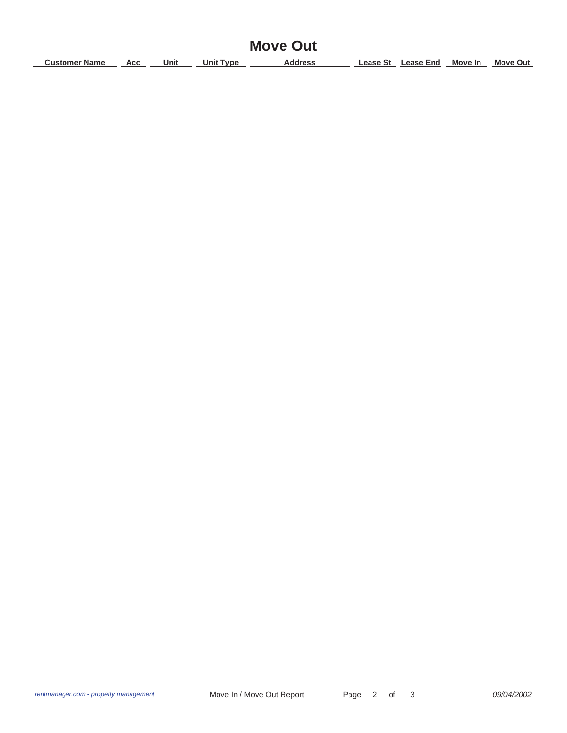| <b>Move Out</b>      |     |      |                  |                |  |                    |         |                 |
|----------------------|-----|------|------------------|----------------|--|--------------------|---------|-----------------|
| <b>Customer Name</b> | Acc | Unit | <b>Unit Type</b> | <b>Address</b> |  | Lease St Lease End | Move In | <b>Move Out</b> |